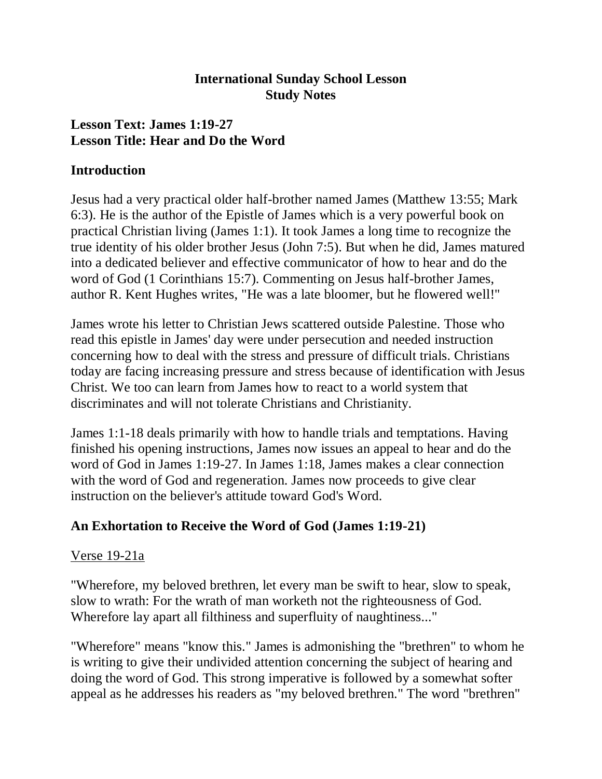### **International Sunday School Lesson Study Notes**

## **Lesson Text: James 1:19-27 Lesson Title: Hear and Do the Word**

### **Introduction**

Jesus had a very practical older half-brother named James (Matthew 13:55; Mark 6:3). He is the author of the Epistle of James which is a very powerful book on practical Christian living (James 1:1). It took James a long time to recognize the true identity of his older brother Jesus (John 7:5). But when he did, James matured into a dedicated believer and effective communicator of how to hear and do the word of God (1 Corinthians 15:7). Commenting on Jesus half-brother James, author R. Kent Hughes writes, "He was a late bloomer, but he flowered well!"

James wrote his letter to Christian Jews scattered outside Palestine. Those who read this epistle in James' day were under persecution and needed instruction concerning how to deal with the stress and pressure of difficult trials. Christians today are facing increasing pressure and stress because of identification with Jesus Christ. We too can learn from James how to react to a world system that discriminates and will not tolerate Christians and Christianity.

James 1:1-18 deals primarily with how to handle trials and temptations. Having finished his opening instructions, James now issues an appeal to hear and do the word of God in James 1:19-27. In James 1:18, James makes a clear connection with the word of God and regeneration. James now proceeds to give clear instruction on the believer's attitude toward God's Word.

## **An Exhortation to Receive the Word of God (James 1:19-21)**

## Verse 19-21a

"Wherefore, my beloved brethren, let every man be swift to hear, slow to speak, slow to wrath: For the wrath of man worketh not the righteousness of God. Wherefore lay apart all filthiness and superfluity of naughtiness..."

"Wherefore" means "know this." James is admonishing the "brethren" to whom he is writing to give their undivided attention concerning the subject of hearing and doing the word of God. This strong imperative is followed by a somewhat softer appeal as he addresses his readers as "my beloved brethren." The word "brethren"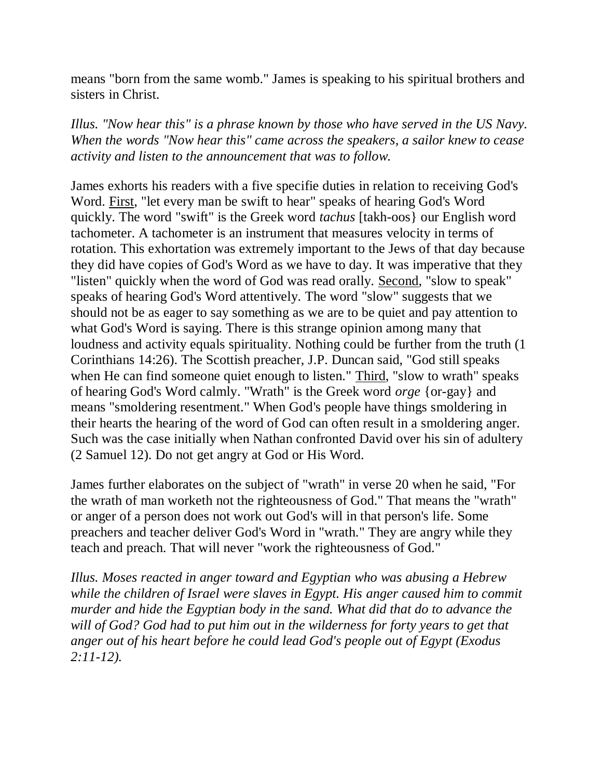means "born from the same womb." James is speaking to his spiritual brothers and sisters in Christ.

*Illus. "Now hear this" is a phrase known by those who have served in the US Navy. When the words "Now hear this" came across the speakers, a sailor knew to cease activity and listen to the announcement that was to follow.*

James exhorts his readers with a five specifie duties in relation to receiving God's Word. First, "let every man be swift to hear" speaks of hearing God's Word quickly. The word "swift" is the Greek word *tachus* [takh-oos} our English word tachometer. A tachometer is an instrument that measures velocity in terms of rotation. This exhortation was extremely important to the Jews of that day because they did have copies of God's Word as we have to day. It was imperative that they "listen" quickly when the word of God was read orally. Second, "slow to speak" speaks of hearing God's Word attentively. The word "slow" suggests that we should not be as eager to say something as we are to be quiet and pay attention to what God's Word is saying. There is this strange opinion among many that loudness and activity equals spirituality. Nothing could be further from the truth (1 Corinthians 14:26). The Scottish preacher, J.P. Duncan said, "God still speaks when He can find someone quiet enough to listen." Third, "slow to wrath" speaks of hearing God's Word calmly. "Wrath" is the Greek word *orge* {or-gay} and means "smoldering resentment." When God's people have things smoldering in their hearts the hearing of the word of God can often result in a smoldering anger. Such was the case initially when Nathan confronted David over his sin of adultery (2 Samuel 12). Do not get angry at God or His Word.

James further elaborates on the subject of "wrath" in verse 20 when he said, "For the wrath of man worketh not the righteousness of God." That means the "wrath" or anger of a person does not work out God's will in that person's life. Some preachers and teacher deliver God's Word in "wrath." They are angry while they teach and preach. That will never "work the righteousness of God."

*Illus. Moses reacted in anger toward and Egyptian who was abusing a Hebrew while the children of Israel were slaves in Egypt. His anger caused him to commit murder and hide the Egyptian body in the sand. What did that do to advance the will of God? God had to put him out in the wilderness for forty years to get that anger out of his heart before he could lead God's people out of Egypt (Exodus 2:11-12).*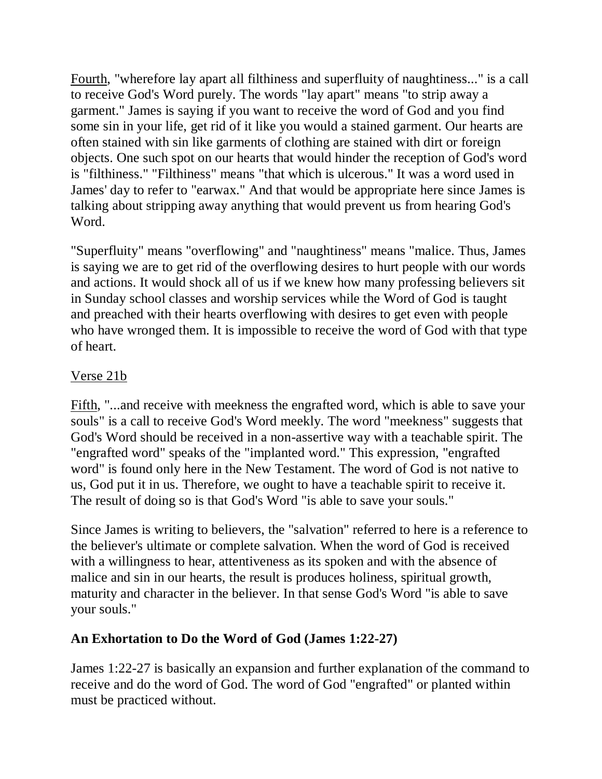Fourth, "wherefore lay apart all filthiness and superfluity of naughtiness..." is a call to receive God's Word purely. The words "lay apart" means "to strip away a garment." James is saying if you want to receive the word of God and you find some sin in your life, get rid of it like you would a stained garment. Our hearts are often stained with sin like garments of clothing are stained with dirt or foreign objects. One such spot on our hearts that would hinder the reception of God's word is "filthiness." "Filthiness" means "that which is ulcerous." It was a word used in James' day to refer to "earwax." And that would be appropriate here since James is talking about stripping away anything that would prevent us from hearing God's Word.

"Superfluity" means "overflowing" and "naughtiness" means "malice. Thus, James is saying we are to get rid of the overflowing desires to hurt people with our words and actions. It would shock all of us if we knew how many professing believers sit in Sunday school classes and worship services while the Word of God is taught and preached with their hearts overflowing with desires to get even with people who have wronged them. It is impossible to receive the word of God with that type of heart.

## Verse 21b

Fifth, "...and receive with meekness the engrafted word, which is able to save your souls" is a call to receive God's Word meekly. The word "meekness" suggests that God's Word should be received in a non-assertive way with a teachable spirit. The "engrafted word" speaks of the "implanted word." This expression, "engrafted word" is found only here in the New Testament. The word of God is not native to us, God put it in us. Therefore, we ought to have a teachable spirit to receive it. The result of doing so is that God's Word "is able to save your souls."

Since James is writing to believers, the "salvation" referred to here is a reference to the believer's ultimate or complete salvation. When the word of God is received with a willingness to hear, attentiveness as its spoken and with the absence of malice and sin in our hearts, the result is produces holiness, spiritual growth, maturity and character in the believer. In that sense God's Word "is able to save your souls."

# **An Exhortation to Do the Word of God (James 1:22-27)**

James 1:22-27 is basically an expansion and further explanation of the command to receive and do the word of God. The word of God "engrafted" or planted within must be practiced without.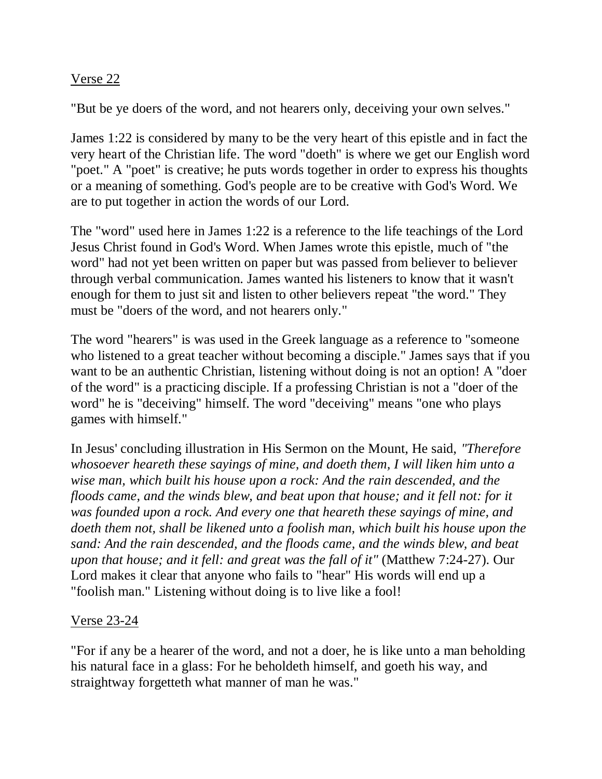### Verse 22

"But be ye doers of the word, and not hearers only, deceiving your own selves."

James 1:22 is considered by many to be the very heart of this epistle and in fact the very heart of the Christian life. The word "doeth" is where we get our English word "poet." A "poet" is creative; he puts words together in order to express his thoughts or a meaning of something. God's people are to be creative with God's Word. We are to put together in action the words of our Lord.

The "word" used here in James 1:22 is a reference to the life teachings of the Lord Jesus Christ found in God's Word. When James wrote this epistle, much of "the word" had not yet been written on paper but was passed from believer to believer through verbal communication. James wanted his listeners to know that it wasn't enough for them to just sit and listen to other believers repeat "the word." They must be "doers of the word, and not hearers only."

The word "hearers" is was used in the Greek language as a reference to "someone who listened to a great teacher without becoming a disciple." James says that if you want to be an authentic Christian, listening without doing is not an option! A "doer of the word" is a practicing disciple. If a professing Christian is not a "doer of the word" he is "deceiving" himself. The word "deceiving" means "one who plays games with himself."

In Jesus' concluding illustration in His Sermon on the Mount, He said, *"Therefore whosoever heareth these sayings of mine, and doeth them, I will liken him unto a wise man, which built his house upon a rock: And the rain descended, and the floods came, and the winds blew, and beat upon that house; and it fell not: for it was founded upon a rock. And every one that heareth these sayings of mine, and doeth them not, shall be likened unto a foolish man, which built his house upon the sand: And the rain descended, and the floods came, and the winds blew, and beat upon that house; and it fell: and great was the fall of it"* (Matthew 7:24-27). Our Lord makes it clear that anyone who fails to "hear" His words will end up a "foolish man." Listening without doing is to live like a fool!

### Verse 23-24

"For if any be a hearer of the word, and not a doer, he is like unto a man beholding his natural face in a glass: For he beholdeth himself, and goeth his way, and straightway forgetteth what manner of man he was."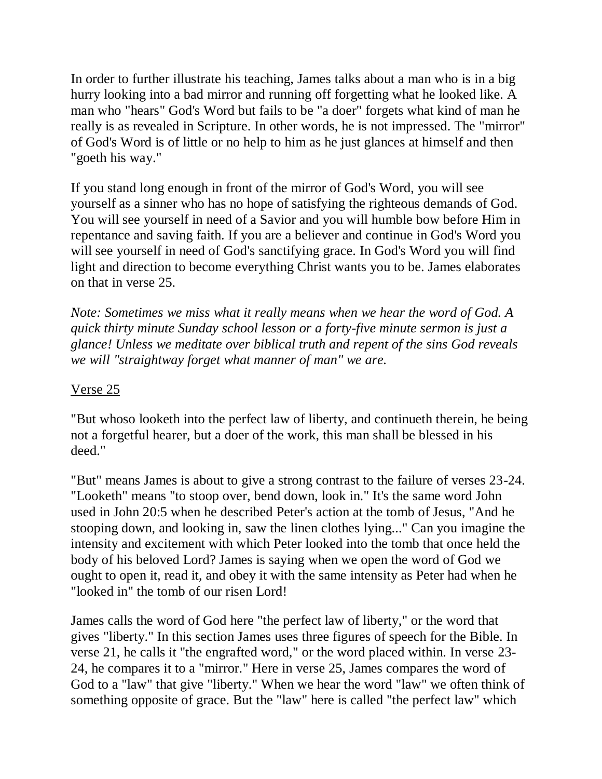In order to further illustrate his teaching, James talks about a man who is in a big hurry looking into a bad mirror and running off forgetting what he looked like. A man who "hears" God's Word but fails to be "a doer" forgets what kind of man he really is as revealed in Scripture. In other words, he is not impressed. The "mirror" of God's Word is of little or no help to him as he just glances at himself and then "goeth his way."

If you stand long enough in front of the mirror of God's Word, you will see yourself as a sinner who has no hope of satisfying the righteous demands of God. You will see yourself in need of a Savior and you will humble bow before Him in repentance and saving faith. If you are a believer and continue in God's Word you will see yourself in need of God's sanctifying grace. In God's Word you will find light and direction to become everything Christ wants you to be. James elaborates on that in verse 25.

*Note: Sometimes we miss what it really means when we hear the word of God. A quick thirty minute Sunday school lesson or a forty-five minute sermon is just a glance! Unless we meditate over biblical truth and repent of the sins God reveals we will "straightway forget what manner of man" we are.*

## Verse 25

"But whoso looketh into the perfect law of liberty, and continueth therein, he being not a forgetful hearer, but a doer of the work, this man shall be blessed in his deed."

"But" means James is about to give a strong contrast to the failure of verses 23-24. "Looketh" means "to stoop over, bend down, look in." It's the same word John used in John 20:5 when he described Peter's action at the tomb of Jesus, "And he stooping down, and looking in, saw the linen clothes lying..." Can you imagine the intensity and excitement with which Peter looked into the tomb that once held the body of his beloved Lord? James is saying when we open the word of God we ought to open it, read it, and obey it with the same intensity as Peter had when he "looked in" the tomb of our risen Lord!

James calls the word of God here "the perfect law of liberty," or the word that gives "liberty." In this section James uses three figures of speech for the Bible. In verse 21, he calls it "the engrafted word," or the word placed within. In verse 23- 24, he compares it to a "mirror." Here in verse 25, James compares the word of God to a "law" that give "liberty." When we hear the word "law" we often think of something opposite of grace. But the "law" here is called "the perfect law" which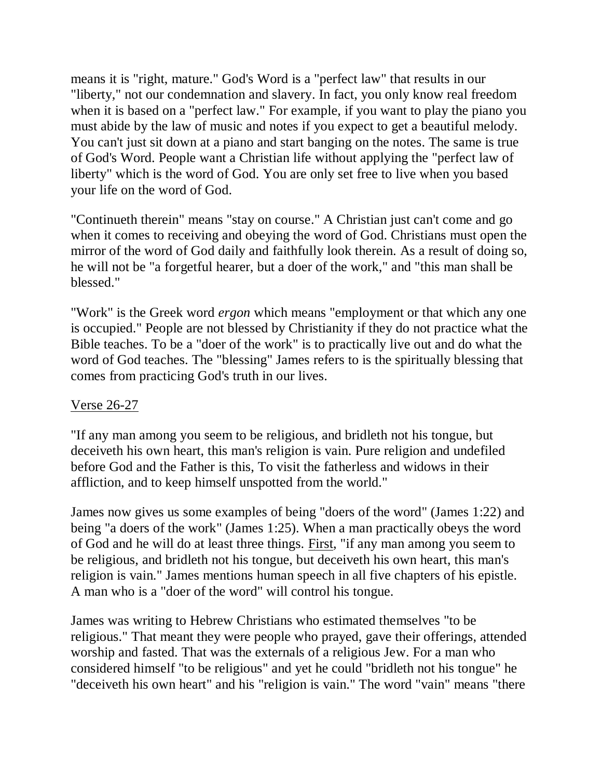means it is "right, mature." God's Word is a "perfect law" that results in our "liberty," not our condemnation and slavery. In fact, you only know real freedom when it is based on a "perfect law." For example, if you want to play the piano you must abide by the law of music and notes if you expect to get a beautiful melody. You can't just sit down at a piano and start banging on the notes. The same is true of God's Word. People want a Christian life without applying the "perfect law of liberty" which is the word of God. You are only set free to live when you based your life on the word of God.

"Continueth therein" means "stay on course." A Christian just can't come and go when it comes to receiving and obeying the word of God. Christians must open the mirror of the word of God daily and faithfully look therein. As a result of doing so, he will not be "a forgetful hearer, but a doer of the work," and "this man shall be blessed."

"Work" is the Greek word *ergon* which means "employment or that which any one is occupied." People are not blessed by Christianity if they do not practice what the Bible teaches. To be a "doer of the work" is to practically live out and do what the word of God teaches. The "blessing" James refers to is the spiritually blessing that comes from practicing God's truth in our lives.

### Verse 26-27

"If any man among you seem to be religious, and bridleth not his tongue, but deceiveth his own heart, this man's religion is vain. Pure religion and undefiled before God and the Father is this, To visit the fatherless and widows in their affliction, and to keep himself unspotted from the world."

James now gives us some examples of being "doers of the word" (James 1:22) and being "a doers of the work" (James 1:25). When a man practically obeys the word of God and he will do at least three things. First, "if any man among you seem to be religious, and bridleth not his tongue, but deceiveth his own heart, this man's religion is vain." James mentions human speech in all five chapters of his epistle. A man who is a "doer of the word" will control his tongue.

James was writing to Hebrew Christians who estimated themselves "to be religious." That meant they were people who prayed, gave their offerings, attended worship and fasted. That was the externals of a religious Jew. For a man who considered himself "to be religious" and yet he could "bridleth not his tongue" he "deceiveth his own heart" and his "religion is vain." The word "vain" means "there